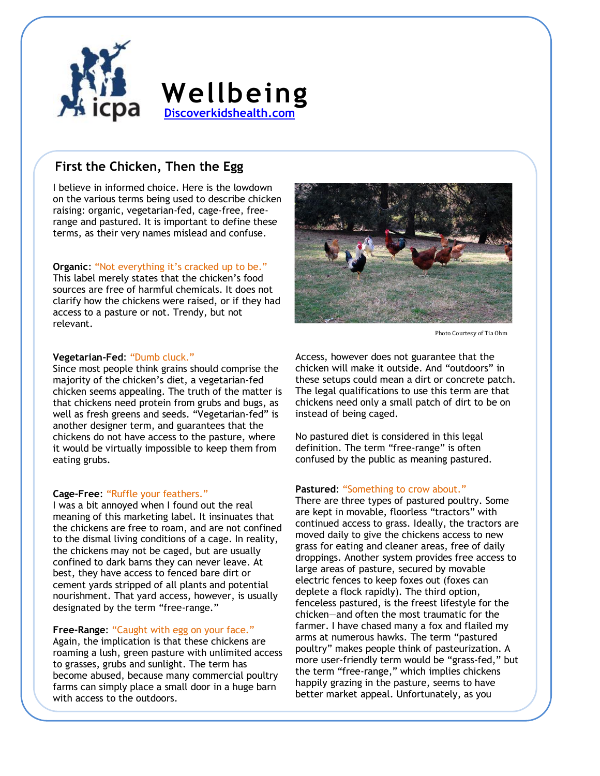

# **Wellbeing [Discoverkidshealth.com](http://www.discoverkidshealth.com/)**

# **First the Chicken, Then the Egg**

I believe in informed choice. Here is the lowdown on the various terms being used to describe chicken raising: organic, vegetarian-fed, cage-free, freerange and pastured. It is important to define these terms, as their very names mislead and confuse.

#### **Organic:** "Not everything it's cracked up to be."

This label merely states that the chicken's food sources are free of harmful chemicals. It does not clarify how the chickens were raised, or if they had access to a pasture or not. Trendy, but not relevant.

#### **Vegetarian-Fed**: "Dumb cluck."

Since most people think grains should comprise the majority of the chicken's diet, a vegetarian-fed chicken seems appealing. The truth of the matter is that chickens need protein from grubs and bugs, as well as fresh greens and seeds. "Vegetarian-fed" is another designer term, and guarantees that the chickens do not have access to the pasture, where it would be virtually impossible to keep them from eating grubs.

#### **Cage-Free**: "Ruffle your feathers."

I was a bit annoyed when I found out the real meaning of this marketing label. It insinuates that the chickens are free to roam, and are not confined to the dismal living conditions of a cage. In reality, the chickens may not be caged, but are usually confined to dark barns they can never leave. At best, they have access to fenced bare dirt or cement yards stripped of all plants and potential nourishment. That yard access, however, is usually designated by the term "free-range."

### **Free-Range**: "Caught with egg on your face."

Again, the implication is that these chickens are roaming a lush, green pasture with unlimited access to grasses, grubs and sunlight. The term has become abused, because many commercial poultry farms can simply place a small door in a huge barn with access to the outdoors.



Photo Courtesy of Tia Ohm

Access, however does not guarantee that the chicken will make it outside. And "outdoors" in these setups could mean a dirt or concrete patch. The legal qualifications to use this term are that chickens need only a small patch of dirt to be on instead of being caged.

No pastured diet is considered in this legal definition. The term "free-range" is often confused by the public as meaning pastured.

#### **Pastured**: "Something to crow about."

There are three types of pastured poultry. Some are kept in movable, floorless "tractors" with continued access to grass. Ideally, the tractors are moved daily to give the chickens access to new grass for eating and cleaner areas, free of daily droppings. Another system provides free access to large areas of pasture, secured by movable electric fences to keep foxes out (foxes can deplete a flock rapidly). The third option, fenceless pastured, is the freest lifestyle for the chicken—and often the most traumatic for the farmer. I have chased many a fox and flailed my arms at numerous hawks. The term "pastured poultry" makes people think of pasteurization. A more user-friendly term would be "grass-fed," but the term "free-range," which implies chickens happily grazing in the pasture, seems to have better market appeal. Unfortunately, as you